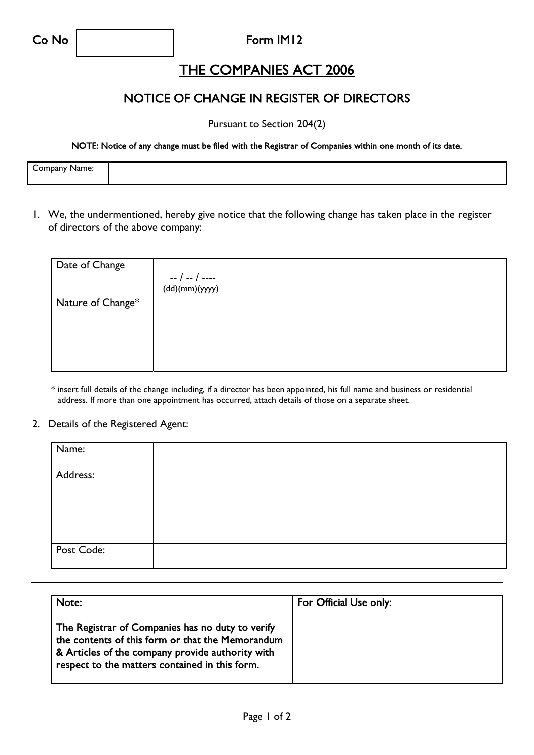#### Co No **Form IM12**

## THE COMPANIES ACT 2006

### NOTICE OF CHANGE IN REGISTER OF DIRECTORS

Pursuant to Section 204(2)

NOTE: Notice of any change must be filed with the Registrar of Companies within one month of its date.

| Company Name:<br>– Juliuany IV i |  |
|----------------------------------|--|
|                                  |  |
|                                  |  |
|                                  |  |

1. We, the undermentioned, hereby give notice that the following change has taken place in the register of directors of the above company:

| Date of Change    |                |
|-------------------|----------------|
|                   | -- / -- / ---- |
|                   | (dd)(mm)(yyyy) |
| Nature of Change* |                |
|                   |                |
|                   |                |
|                   |                |
|                   |                |
|                   |                |

\* insert full details of the change including, if a director has been appointed, his full name and business or residential address. If more than one appointment has occurred, attach details of those on a separate sheet.

#### 2. Details of the Registered Agent:

| Name:      |  |
|------------|--|
| Address:   |  |
| Post Code: |  |

| Note:                                                                                                                                                                                                      | For Official Use only: |
|------------------------------------------------------------------------------------------------------------------------------------------------------------------------------------------------------------|------------------------|
| The Registrar of Companies has no duty to verify<br>the contents of this form or that the Memorandum<br>& Articles of the company provide authority with<br>respect to the matters contained in this form. |                        |